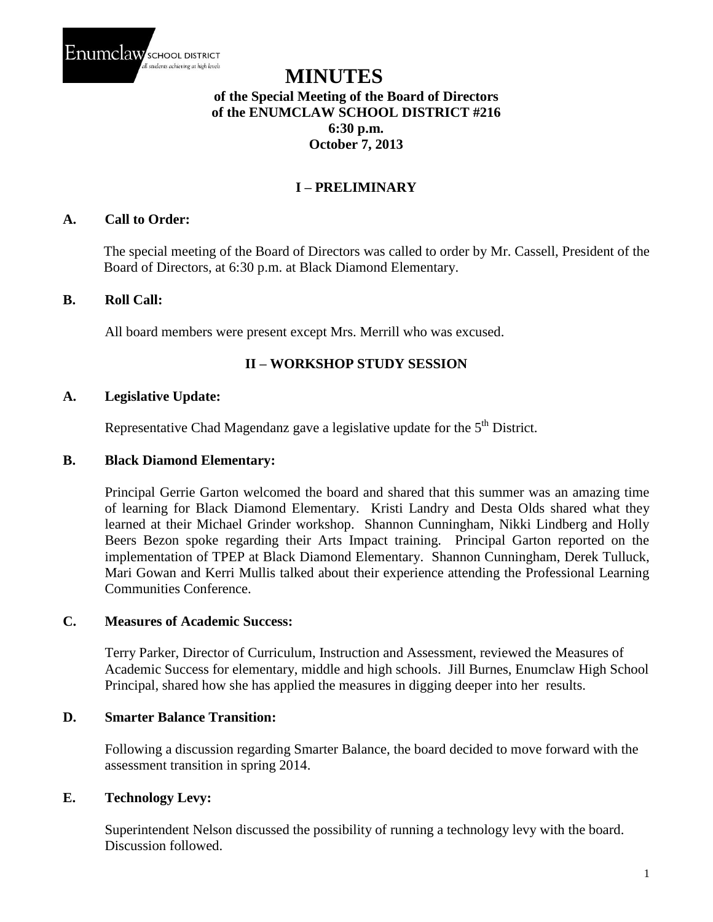

# **MINUTES of the Special Meeting of the Board of Directors of the ENUMCLAW SCHOOL DISTRICT #216 6:30 p.m. October 7, 2013**

## **I – PRELIMINARY**

## **A. Call to Order:**

The special meeting of the Board of Directors was called to order by Mr. Cassell, President of the Board of Directors, at 6:30 p.m. at Black Diamond Elementary.

#### **B. Roll Call:**

All board members were present except Mrs. Merrill who was excused.

## **II – WORKSHOP STUDY SESSION**

#### **A. Legislative Update:**

Representative Chad Magendanz gave a legislative update for the  $5<sup>th</sup>$  District.

#### **B. Black Diamond Elementary:**

Principal Gerrie Garton welcomed the board and shared that this summer was an amazing time of learning for Black Diamond Elementary. Kristi Landry and Desta Olds shared what they learned at their Michael Grinder workshop. Shannon Cunningham, Nikki Lindberg and Holly Beers Bezon spoke regarding their Arts Impact training. Principal Garton reported on the implementation of TPEP at Black Diamond Elementary. Shannon Cunningham, Derek Tulluck, Mari Gowan and Kerri Mullis talked about their experience attending the Professional Learning Communities Conference.

#### **C. Measures of Academic Success:**

Terry Parker, Director of Curriculum, Instruction and Assessment, reviewed the Measures of Academic Success for elementary, middle and high schools. Jill Burnes, Enumclaw High School Principal, shared how she has applied the measures in digging deeper into her results.

## **D. Smarter Balance Transition:**

Following a discussion regarding Smarter Balance, the board decided to move forward with the assessment transition in spring 2014.

## **E. Technology Levy:**

Superintendent Nelson discussed the possibility of running a technology levy with the board. Discussion followed.